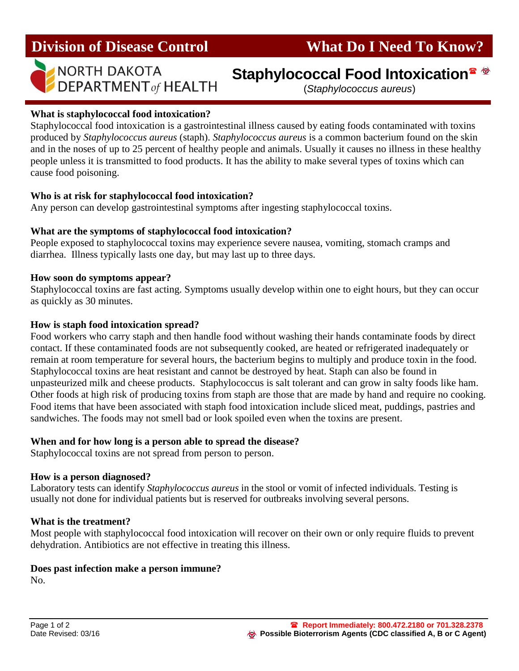



# NORTH DAKOTA<br>DEPARTMENT of HEALTH (Staphylococcus aureus)

(*Staphylococcus aureus*)

### **What is staphylococcal food intoxication?**

Staphylococcal food intoxication is a gastrointestinal illness caused by eating foods contaminated with toxins produced by *Staphylococcus aureus* (staph). *Staphylococcus aureus* is a common bacterium found on the skin and in the noses of up to 25 percent of healthy people and animals. Usually it causes no illness in these healthy people unless it is transmitted to food products. It has the ability to make several types of toxins which can cause food poisoning.

#### **Who is at risk for staphylococcal food intoxication?**

Any person can develop gastrointestinal symptoms after ingesting staphylococcal toxins.

### **What are the symptoms of staphylococcal food intoxication?**

People exposed to staphylococcal toxins may experience severe nausea, vomiting, stomach cramps and diarrhea. Illness typically lasts one day, but may last up to three days.

#### **How soon do symptoms appear?**

Staphylococcal toxins are fast acting. Symptoms usually develop within one to eight hours, but they can occur as quickly as 30 minutes.

### **How is staph food intoxication spread?**

Food workers who carry staph and then handle food without washing their hands contaminate foods by direct contact. If these contaminated foods are not subsequently cooked, are heated or refrigerated inadequately or remain at room temperature for several hours, the bacterium begins to multiply and produce toxin in the food. Staphylococcal toxins are heat resistant and cannot be destroyed by heat. Staph can also be found in unpasteurized milk and cheese products. Staphylococcus is salt tolerant and can grow in salty foods like ham. Other foods at high risk of producing toxins from staph are those that are made by hand and require no cooking. Food items that have been associated with staph food intoxication include sliced meat, puddings, pastries and sandwiches. The foods may not smell bad or look spoiled even when the toxins are present.

#### **When and for how long is a person able to spread the disease?**

Staphylococcal toxins are not spread from person to person.

#### **How is a person diagnosed?**

Laboratory tests can identify *Staphylococcus aureus* in the stool or vomit of infected individuals. Testing is usually not done for individual patients but is reserved for outbreaks involving several persons.

#### **What is the treatment?**

Most people with staphylococcal food intoxication will recover on their own or only require fluids to prevent dehydration. Antibiotics are not effective in treating this illness.

# **Does past infection make a person immune?**

No.